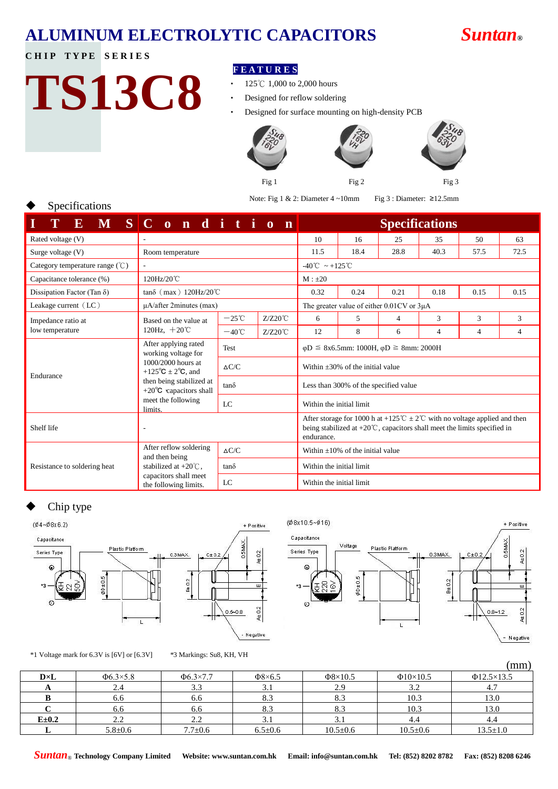## **ALUMINUM ELECTROLYTIC CAPACITORS** *Suntan***®**



## **CHIP TYPE SERIES**

Specifications

## **TS13C8**

## **F E A T U R E S**

- ‧ 125℃ 1,000 to 2,000 hours
- ‧ Designed for reflow soldering

Designed for surface mounting on high-density PCB





Note: Fig 1 & 2: Diameter 4 ~10mm Fig 3 : Diameter: ≥12.5mm

| ${\bf E}$<br>$\mathbf{M}$                  | $S C$ on ditio<br>$\mathbf n$                                                                                                           |                 |                                        | <b>Specifications</b>                                                                                                                                                               |      |      |      |                |                |
|--------------------------------------------|-----------------------------------------------------------------------------------------------------------------------------------------|-----------------|----------------------------------------|-------------------------------------------------------------------------------------------------------------------------------------------------------------------------------------|------|------|------|----------------|----------------|
| Rated voltage (V)                          |                                                                                                                                         |                 |                                        | 10                                                                                                                                                                                  | 16   | 25   | 35   | 50             | 63             |
| Surge voltage $(V)$                        | Room temperature                                                                                                                        |                 |                                        | 11.5                                                                                                                                                                                | 18.4 | 28.8 | 40.3 | 57.5           | 72.5           |
| Category temperature range $(\mathcal{C})$ | ÷.                                                                                                                                      |                 |                                        | $-40^{\circ}\text{C} \sim +125^{\circ}\text{C}$                                                                                                                                     |      |      |      |                |                |
| Capacitance tolerance (%)                  | 120Hz/20°C                                                                                                                              |                 |                                        | $M : \pm 20$                                                                                                                                                                        |      |      |      |                |                |
| Dissipation Factor (Tan $\delta$ )         | $tan\delta$ (max) 120Hz/20°C                                                                                                            |                 |                                        | 0.32                                                                                                                                                                                | 0.24 | 0.21 | 0.18 | 0.15           | 0.15           |
| Leakage current (LC)                       | $\mu$ A/after 2minutes (max)                                                                                                            |                 |                                        | The greater value of either 0.01CV or 3µA                                                                                                                                           |      |      |      |                |                |
| Impedance ratio at                         | Based on the value at<br>120Hz, $+20^{\circ}$ C                                                                                         | $-25^{\circ}$ C | $Z/Z20^{\circ}C$                       | 6                                                                                                                                                                                   | 5    | 4    | 3    | 3              | 3              |
| low temperature                            |                                                                                                                                         | $-40^{\circ}$ C | $Z/Z20^{\circ}C$                       | 12                                                                                                                                                                                  | 8    | 6    | 4    | $\overline{4}$ | $\overline{4}$ |
|                                            | After applying rated<br>working voltage for                                                                                             | Test            |                                        | $\varphi$ D $\leq$ 8x6.5mm: 1000H, $\varphi$ D $\geq$ 8mm: 2000H                                                                                                                    |      |      |      |                |                |
| Endurance                                  | 1000/2000 hours at<br>+125 $\textdegree$ C $\pm$ 2 $\textdegree$ C, and<br>then being stabilized at<br>+20 $\degree$ C capacitors shall | $\Delta C/C$    |                                        | Within $\pm 30\%$ of the initial value                                                                                                                                              |      |      |      |                |                |
|                                            |                                                                                                                                         | $tan\delta$     |                                        | Less than 300% of the specified value                                                                                                                                               |      |      |      |                |                |
|                                            | meet the following<br>limits.                                                                                                           | LC              |                                        | Within the initial limit                                                                                                                                                            |      |      |      |                |                |
| Shelf life                                 | $\overline{\phantom{a}}$                                                                                                                |                 |                                        | After storage for 1000 h at +125 °C $\pm 2$ °C with no voltage applied and then<br>being stabilized at $+20^{\circ}$ C, capacitors shall meet the limits specified in<br>endurance. |      |      |      |                |                |
|                                            | After reflow soldering<br>and then being                                                                                                | $\Delta C/C$    | Within $\pm 10\%$ of the initial value |                                                                                                                                                                                     |      |      |      |                |                |
| Resistance to soldering heat               | stabilized at $+20^{\circ}$ C.                                                                                                          | $tan\delta$     |                                        | Within the initial limit                                                                                                                                                            |      |      |      |                |                |
|                                            | capacitors shall meet<br>the following limits.                                                                                          | LC              |                                        | Within the initial limit                                                                                                                                                            |      |      |      |                |                |

## Chip type





(Ø8x10.5~Ø16) + Positive Capacitance Voltage I FIMAL Plastic Platform Series Type 0.3MAX.  $C \pm 0$  $\omega$  $80 + 0.5$  $B \pm 0.2$  $0.8 - 1.2$  $\mathbf{L}$ Negative

\*1 Voltage mark for 6.3V is [6V] or [6.3V] \*3 Markings: Su8, KH, VH

|              |                |                |               |                |                | , , , , , , , ,  |
|--------------|----------------|----------------|---------------|----------------|----------------|------------------|
| $D \times L$ | $\Phi$ 6.3×5.8 | $\Phi$ 6.3×7.7 | $\Phi$ 8×6.5  | $\Phi$ 8×10.5  | $\Phi$ 10×10.5 | $\Phi$ 12.5×13.5 |
|              | 2.4            | 3.3            | ۰.۱           | 2.9            | 32<br>ے ۔      |                  |
|              | 6.6            | 6.6            | 8.3           | 8.3            | 10.3           | 13.0             |
|              | 6.6            | 6.6            | 8.3           | 8.3            | 10.3           | 13.0             |
| $E = 0.2$    | 2.2            | 2.2            | .             | 3.1            | 4.4            | 4.4              |
|              | $5.8 + 0.6$    | $7.7 \pm 0.6$  | $6.5 \pm 0.6$ | $10.5 \pm 0.6$ | $10.5 \pm 0.6$ | $13.5 \pm 1.0$   |

*Suntan*® **Technology Company Limited Website: www.suntan.com.hk Email: info@suntan.com.hk Tel: (852) 8202 8782 Fax: (852) 8208 6246**

 $(mm)$ 

At 0.2